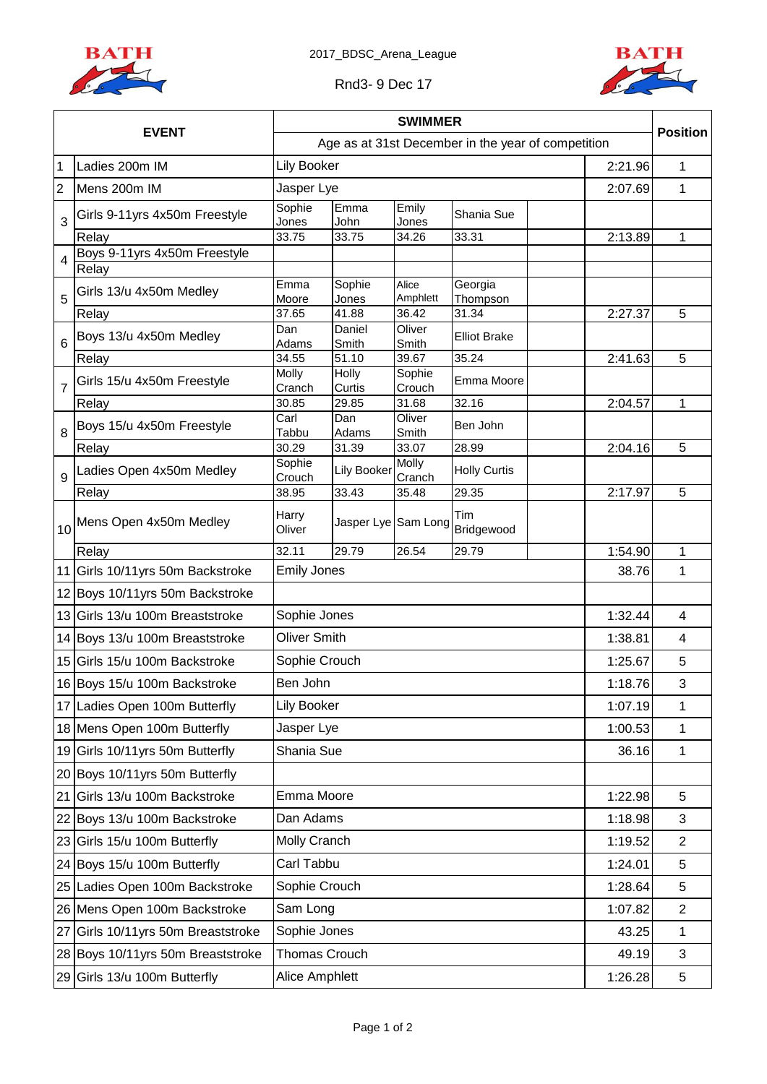



## Rnd3- 9 Dec 17

|                |                                    |                     |                     | <b>SWIMMER</b>   |                                                    |         | <b>Position</b> |
|----------------|------------------------------------|---------------------|---------------------|------------------|----------------------------------------------------|---------|-----------------|
|                | <b>EVENT</b>                       |                     |                     |                  | Age as at 31st December in the year of competition |         |                 |
| $\overline{1}$ | Ladies 200m IM                     | <b>Lily Booker</b>  |                     |                  |                                                    | 2:21.96 | 1               |
| $\overline{2}$ | Mens 200m IM                       | Jasper Lye          |                     |                  |                                                    | 2:07.69 | 1               |
| 3              | Girls 9-11yrs 4x50m Freestyle      | Sophie<br>Jones     | Emma<br>John        | Emily<br>Jones   | Shania Sue                                         |         |                 |
|                | Relay                              | 33.75               | 33.75               | 34.26            | 33.31                                              | 2:13.89 | $\mathbf{1}$    |
| $\overline{4}$ | Boys 9-11yrs 4x50m Freestyle       |                     |                     |                  |                                                    |         |                 |
|                | Relay                              | Emma                | Sophie              | Alice            | Georgia                                            |         |                 |
| 5              | Girls 13/u 4x50m Medley            | Moore               | Jones               | Amphlett         | Thompson                                           |         |                 |
|                | Relay                              | 37.65               | 41.88               | 36.42            | 31.34                                              | 2:27.37 | 5               |
| 6              | Boys 13/u 4x50m Medley             | Dan<br>Adams        | Daniel<br>Smith     | Oliver<br>Smith  | <b>Elliot Brake</b>                                |         |                 |
|                | Relay                              | 34.55               | 51.10               | 39.67            | 35.24                                              | 2:41.63 | 5               |
| $\overline{7}$ | Girls 15/u 4x50m Freestyle         | Molly<br>Cranch     | Holly<br>Curtis     | Sophie<br>Crouch | Emma Moore                                         |         |                 |
|                | Relay                              | 30.85               | 29.85               | 31.68            | 32.16                                              | 2:04.57 | 1               |
| 8              | Boys 15/u 4x50m Freestyle          | Carl<br>Tabbu       | Dan<br>Adams        | Oliver<br>Smith  | Ben John                                           |         |                 |
|                | Relay                              | 30.29               | 31.39               | 33.07            | 28.99                                              | 2:04.16 | 5               |
| 9              | Ladies Open 4x50m Medley           | Sophie<br>Crouch    | Lily Booker         | Molly<br>Cranch  | <b>Holly Curtis</b>                                |         |                 |
|                | Relay                              | 38.95               | 33.43               | 35.48            | 29.35                                              | 2:17.97 | 5               |
| 10             | Mens Open 4x50m Medley             | Harry<br>Oliver     | Jasper Lye Sam Long |                  | Tim<br>Bridgewood                                  |         |                 |
|                | Relay                              | 32.11               | 29.79               | 26.54            | 29.79                                              | 1:54.90 | 1               |
|                | 11 Girls 10/11yrs 50m Backstroke   | <b>Emily Jones</b>  |                     |                  |                                                    | 38.76   | $\mathbf{1}$    |
|                | 12 Boys 10/11 yrs 50m Backstroke   |                     |                     |                  |                                                    |         |                 |
|                | 13 Girls 13/u 100m Breaststroke    | Sophie Jones        |                     |                  |                                                    | 1:32.44 | $\overline{4}$  |
|                | 14 Boys 13/u 100m Breaststroke     | <b>Oliver Smith</b> |                     |                  |                                                    | 1:38.81 | 4               |
|                | 15 Girls 15/u 100m Backstroke      | Sophie Crouch       |                     |                  |                                                    | 1:25.67 | 5               |
|                | 16 Boys 15/u 100m Backstroke       | Ben John            |                     |                  |                                                    | 1:18.76 | 3               |
|                | 17 Ladies Open 100m Butterfly      | Lily Booker         |                     |                  |                                                    | 1:07.19 | 1               |
|                | 18 Mens Open 100m Butterfly        | Jasper Lye          |                     |                  |                                                    | 1:00.53 | $\mathbf 1$     |
|                | 19 Girls 10/11yrs 50m Butterfly    | Shania Sue          |                     |                  |                                                    | 36.16   | $\mathbf 1$     |
|                | 20 Boys 10/11yrs 50m Butterfly     |                     |                     |                  |                                                    |         |                 |
|                | 21 Girls 13/u 100m Backstroke      | Emma Moore          |                     |                  |                                                    | 1:22.98 | 5               |
|                | 22 Boys 13/u 100m Backstroke       | Dan Adams           |                     |                  |                                                    | 1:18.98 | 3               |
|                | 23 Girls 15/u 100m Butterfly       | Molly Cranch        |                     |                  |                                                    | 1:19.52 | $\overline{2}$  |
|                | 24 Boys 15/u 100m Butterfly        | Carl Tabbu          |                     |                  |                                                    | 1:24.01 | 5               |
|                | 25 Ladies Open 100m Backstroke     | Sophie Crouch       |                     |                  |                                                    | 1:28.64 | 5               |
|                | 26 Mens Open 100m Backstroke       | Sam Long            |                     |                  |                                                    | 1:07.82 | $\overline{2}$  |
|                | 27 Girls 10/11yrs 50m Breaststroke | Sophie Jones        |                     |                  |                                                    | 43.25   | 1               |
|                | 28 Boys 10/11yrs 50m Breaststroke  | Thomas Crouch       |                     |                  |                                                    | 49.19   | 3               |
|                | 29 Girls 13/u 100m Butterfly       | Alice Amphlett      |                     |                  |                                                    | 1:26.28 | 5               |